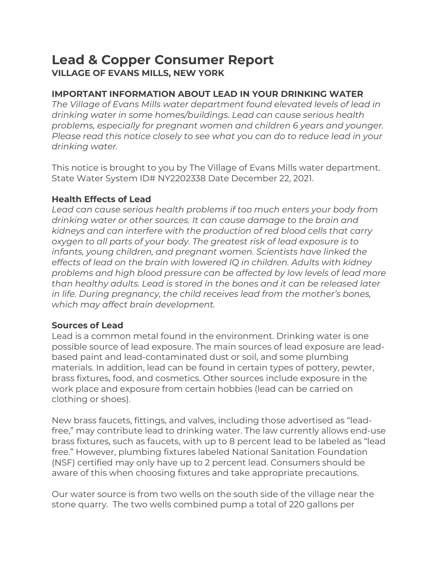# Lead & Copper Consumer Report VILLAGE OF EVANS MILLS, NEW YORK

# IMPORTANT INFORMATION ABOUT LEAD IN YOUR DRINKING WATER

The Village of Evans Mills water department found elevated levels of lead in drinking water in some homes/buildings. Lead can cause serious health problems, especially for pregnant women and children 6 years and younger. Please read this notice closely to see what you can do to reduce lead in your drinking water.

This notice is brought to you by The Village of Evans Mills water department. State Water System ID# NY2202338 Date December 22, 2021.

#### Health Effects of Lead

Lead can cause serious health problems if too much enters your body from drinking water or other sources. It can cause damage to the brain and kidneys and can interfere with the production of red blood cells that carry oxygen to all parts of your body. The greatest risk of lead exposure is to infants, young children, and pregnant women. Scientists have linked the effects of lead on the brain with lowered IQ in children. Adults with kidney problems and high blood pressure can be affected by low levels of lead more than healthy adults. Lead is stored in the bones and it can be released later in life. During pregnancy, the child receives lead from the mother's bones, which may affect brain development.

#### Sources of Lead

Lead is a common metal found in the environment. Drinking water is one possible source of lead exposure. The main sources of lead exposure are leadbased paint and lead-contaminated dust or soil, and some plumbing materials. In addition, lead can be found in certain types of pottery, pewter, brass fixtures, food, and cosmetics. Other sources include exposure in the work place and exposure from certain hobbies (lead can be carried on clothing or shoes).

New brass faucets, fittings, and valves, including those advertised as "leadfree," may contribute lead to drinking water. The law currently allows end-use brass fixtures, such as faucets, with up to 8 percent lead to be labeled as "lead free." However, plumbing fixtures labeled National Sanitation Foundation (NSF) certified may only have up to 2 percent lead. Consumers should be aware of this when choosing fixtures and take appropriate precautions.

Our water source is from two wells on the south side of the village near the stone quarry. The two wells combined pump a total of 220 gallons per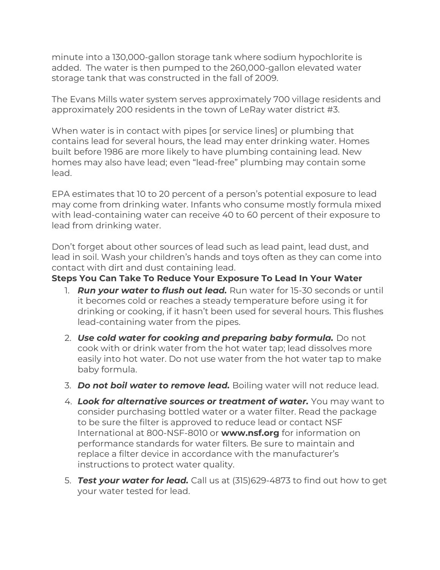minute into a 130,000-gallon storage tank where sodium hypochlorite is added. The water is then pumped to the 260,000-gallon elevated water storage tank that was constructed in the fall of 2009.

The Evans Mills water system serves approximately 700 village residents and approximately 200 residents in the town of LeRay water district #3.

When water is in contact with pipes [or service lines] or plumbing that contains lead for several hours, the lead may enter drinking water. Homes built before 1986 are more likely to have plumbing containing lead. New homes may also have lead; even "lead-free" plumbing may contain some lead.

EPA estimates that 10 to 20 percent of a person's potential exposure to lead may come from drinking water. Infants who consume mostly formula mixed with lead-containing water can receive 40 to 60 percent of their exposure to lead from drinking water.

Don't forget about other sources of lead such as lead paint, lead dust, and lead in soil. Wash your children's hands and toys often as they can come into contact with dirt and dust containing lead.

## Steps You Can Take To Reduce Your Exposure To Lead In Your Water

- 1. **Run your water to flush out lead.** Run water for 15-30 seconds or until it becomes cold or reaches a steady temperature before using it for drinking or cooking, if it hasn't been used for several hours. This flushes lead-containing water from the pipes.
- 2. Use cold water for cooking and preparing baby formula. Do not cook with or drink water from the hot water tap; lead dissolves more easily into hot water. Do not use water from the hot water tap to make baby formula.
- 3. **Do not boil water to remove lead.** Boiling water will not reduce lead.
- 4. Look for alternative sources or treatment of water. You may want to consider purchasing bottled water or a water filter. Read the package to be sure the filter is approved to reduce lead or contact NSF International at 800-NSF-8010 or www.nsf.org for information on performance standards for water filters. Be sure to maintain and replace a filter device in accordance with the manufacturer's instructions to protect water quality.
- 5. **Test your water for lead.** Call us at (315)629-4873 to find out how to get your water tested for lead.